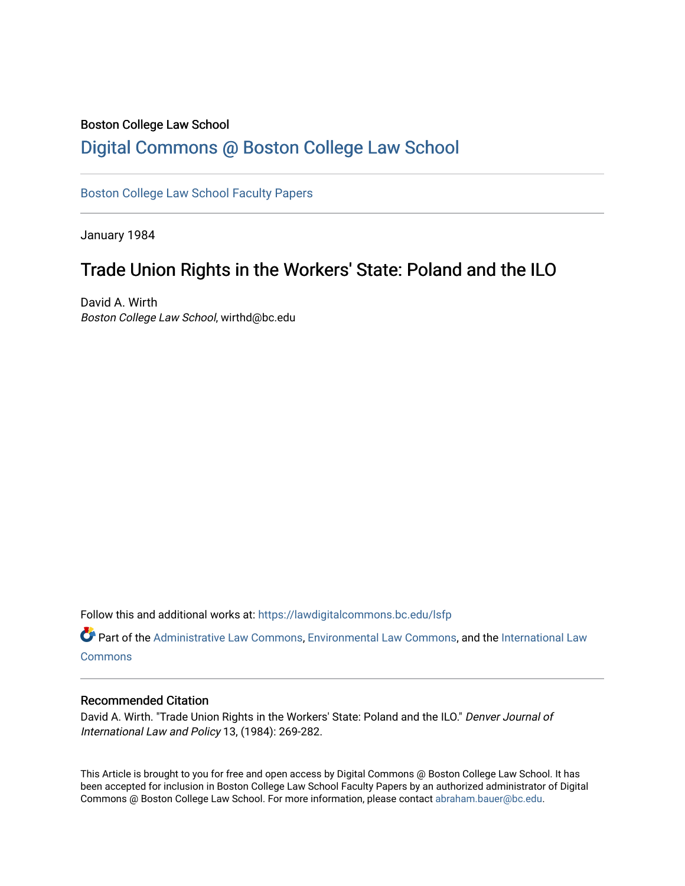# Boston College Law School

# [Digital Commons @ Boston College Law School](https://lawdigitalcommons.bc.edu/)

### [Boston College Law School Faculty Papers](https://lawdigitalcommons.bc.edu/lsfp)

January 1984

## Trade Union Rights in the Workers' State: Poland and the ILO

David A. Wirth Boston College Law School, wirthd@bc.edu

Follow this and additional works at: [https://lawdigitalcommons.bc.edu/lsfp](https://lawdigitalcommons.bc.edu/lsfp?utm_source=lawdigitalcommons.bc.edu%2Flsfp%2F899&utm_medium=PDF&utm_campaign=PDFCoverPages) 

Part of the [Administrative Law Commons,](http://network.bepress.com/hgg/discipline/579?utm_source=lawdigitalcommons.bc.edu%2Flsfp%2F899&utm_medium=PDF&utm_campaign=PDFCoverPages) [Environmental Law Commons](http://network.bepress.com/hgg/discipline/599?utm_source=lawdigitalcommons.bc.edu%2Flsfp%2F899&utm_medium=PDF&utm_campaign=PDFCoverPages), and the [International Law](http://network.bepress.com/hgg/discipline/609?utm_source=lawdigitalcommons.bc.edu%2Flsfp%2F899&utm_medium=PDF&utm_campaign=PDFCoverPages)  **[Commons](http://network.bepress.com/hgg/discipline/609?utm_source=lawdigitalcommons.bc.edu%2Flsfp%2F899&utm_medium=PDF&utm_campaign=PDFCoverPages)** 

### Recommended Citation

David A. Wirth. "Trade Union Rights in the Workers' State: Poland and the ILO." Denver Journal of International Law and Policy 13, (1984): 269-282.

This Article is brought to you for free and open access by Digital Commons @ Boston College Law School. It has been accepted for inclusion in Boston College Law School Faculty Papers by an authorized administrator of Digital Commons @ Boston College Law School. For more information, please contact [abraham.bauer@bc.edu.](mailto:abraham.bauer@bc.edu)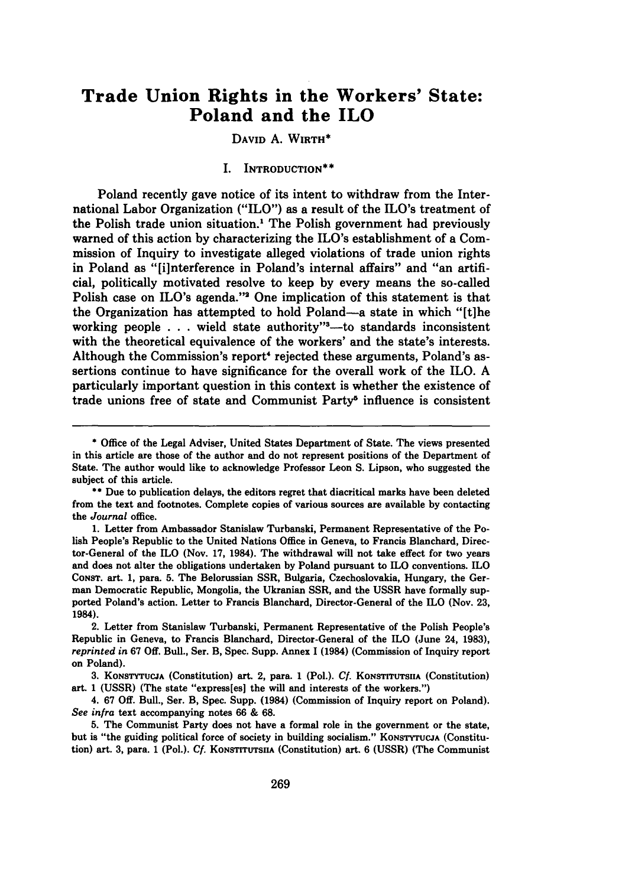### **Trade Union Rights in the Workers' State: Poland and the ILO**

#### DAVID **A.** WIRTH\*

#### I. INTRODUCTION\*\*

Poland recently gave notice of its intent to withdraw from the International Labor Organization ("ILO") as a result of the ILO's treatment of the Polish trade union situation.' The Polish government had previously warned of this action **by** characterizing the ILO's establishment of a Commission of Inquiry to investigate alleged violations of trade union rights in Poland as "[i]nterference in Poland's internal affairs" and "an artificial, politically motivated resolve to keep **by** every means the so-called Polish case on ILO's agenda."' One implication of this statement is that the Organization has attempted to hold Poland-a state in which "[t]he working people . . . wield state authority"<sup>3</sup>-to standards inconsistent with the theoretical equivalence of the workers' and the state's interests. Although the Commission's report' rejected these arguments, Poland's assertions continue to have significance for the overall work of the ILO. **A** particularly important question in this context is whether the existence of trade unions free of state and Communist Party<sup>5</sup> influence is consistent

**<sup>\*</sup>** Office of the Legal Adviser, United States Department of State. The views presented in this article are those of the author and do not represent positions of the Department of State. The author would like to acknowledge Professor Leon **S.** Lipson, who suggested the subject of this article.

**<sup>\*\*</sup>** Due to publication delays, the editors regret that diacritical marks have been deleted from the text and footnotes. Complete copies of various sources are available **by** contacting the *Journal* office.

**<sup>1.</sup>** Letter from Ambassador Stanislaw Turbanski, Permanent Representative of the Polish People's Republic to the United Nations Office in Geneva, to Francis Blanchard, Director-General of the ILO (Nov. **17,** 1984). The withdrawal will not take effect for two years and does not alter the obligations undertaken **by** Poland pursuant to ILO conventions. ILO CONsT. art. **1,** para. **5.** The Belorussian SSR, Bulgaria, Czechoslovakia, Hungary, the German Democratic Republic, Mongolia, the Ukranian SSR, and the **USSR** have formally supported Poland's action. Letter **to** Francis Blanchard, Director-General of the ILO (Nov. **23,** 1984).

<sup>2.</sup> Letter from Stanislaw Turbanski, Permanent Representative of the Polish People's Republic in Geneva, to Francis Blanchard, Director-General of the ILO (June 24, **1983),** *reprinted in* **67 Off.** Bull., Ser. B, Spec. Supp. Annex 1 (1984) (Commission of Inquiry report on Poland).

<sup>3.</sup> KONSTYTUCJA (Constitution) art. 2, para. 1 (Pol.). *Cf.* KONSTITUTSIIA (Constitution) art. **1 (USSR)** (The state "express[es] the will and interests of the workers.")

<sup>4.</sup> **67 Off.** Bull., Ser. B, Spec. Supp. (1984) (Commission of Inquiry report on Poland). *See infra* text accompanying notes **66 & 68.**

**<sup>5.</sup>** The Communist Party does not have a formal role in the government or the state, but is "the guiding political force of society in building socialism." **KONSTYTUCJA** (Constitution) art. 3, para. 1 (Pol.). *Cf.* KONSTITUTSIIA (Constitution) art. 6 (USSR) (The Communist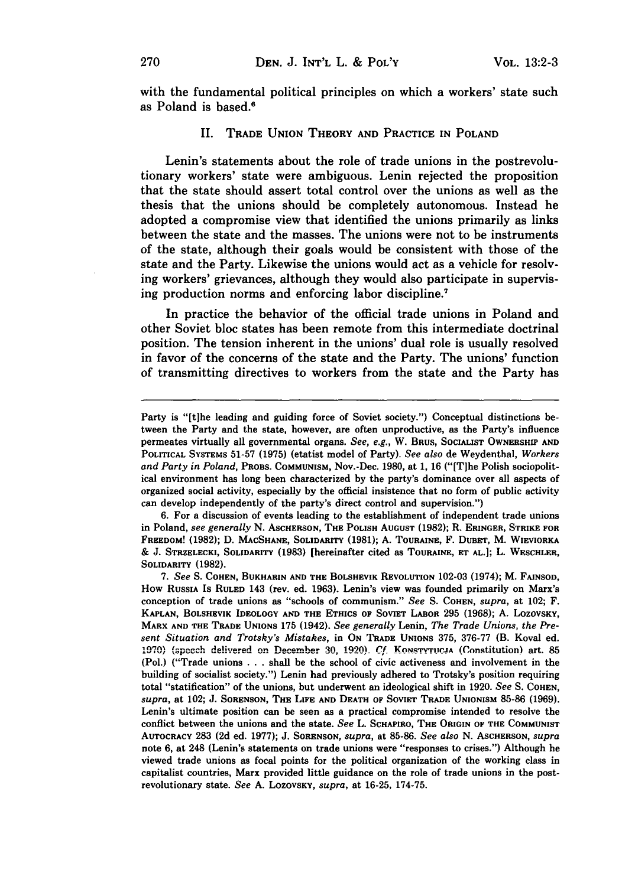with the fundamental political principles on which a workers' state such as Poland is based.'

#### II. **TRADE UNION THEORY AND PRACTICE IN POLAND**

Lenin's statements about the role of trade unions in the postrevolutionary workers' state were ambiguous. Lenin rejected the proposition that the state should assert total control over the unions as well as the thesis that the unions should be completely autonomous. Instead he adopted a compromise view that identified the unions primarily as links between the state and the masses. The unions were not to be instruments of the state, although their goals would be consistent with those of the state and the Party. Likewise the unions would act as a vehicle for resolving workers' grievances, although they would also participate in supervising production norms and enforcing labor discipline.'

In practice the behavior of the official trade unions in Poland and other Soviet bloc states has been remote from this intermediate doctrinal position. The tension inherent in the unions' dual role is usually resolved in favor of the concerns of the state and the Party. The unions' function of transmitting directives to workers from the state and the Party has

**6.** For a discussion of events leading to the establishment of independent trade unions in Poland, *see generally* **N. ASCHERSON, THE POLISH AUGUST (1982);** R. **ERINGER, STRIKE FOR FREEDOM! (1982); D. MACSHANE, SOLIDARITY (1981); A. TOURAINE,** F. DUBET, M. **WIEVIORKA & J. STRZELECKI, SOLIDARITY (1983)** [hereinafter cited as **TOURAINE, ET AL.];** L. **WESCHLER,** SOLIDARITY **(1982).**

Party is "[t]he leading and guiding force of Soviet society.") Conceptual distinctions between the Party and the state, however, are often unproductive, as the Party's influence permeates virtually all governmental organs. See, e.g., **W. BRUS, SOCIALIST OWNERSHIP AND POLITICAL** SYSTEMS **51-57** (1975) (etatist model of Party). *See also* de Weydenthal, *Workers and Party in Poland,* **PROBS. COMMUNISM,** Nov.-Dec. **1980,** at **1, 16** ("[T]he Polish sociopolit**ical** environment has long been characterized **by** the party's dominance over all aspects of organized social activity, especially **by** the official insistence that no form of public activity can develop independently of the party's direct control and supervision.")

**<sup>7.</sup>** *See* **S. COHEN, BUKHARIN AND THE BOLSHEVIK REVOLUTION 102-03** (1974); M. **FAINSOD, How RUSSIA Is RULED 143 (rev.** ed. **1963). Lenin's view was founded primarily on Marx's conception of trade unions** as **"schools of communism."** *See* **S. COHEN,** *supra,* **at** 102; F. **KAPLAN, BOLSHEVIK IDEOLOGY AND THE ETHICS OF SOVIET LABOR 295 (1968); A. LOZOVSKY, MARX AND THE TRADE UNIONS 175** (1942). *See generally* **Lenin,** *The Trade Unions, the Present Situation and Trotsky's Mistakes,* in On Trade Unions 375, 376-77 (B. Koval ed. 1970) (speech delivered on December 30, 1920). Cf. KONSTYTUCJA (Constitution) art. 85 (Pol.) ("Trade unions **. . .** shall be the school of civic activeness and involvement in the building of socialist society.") Lenin had previously adhered to Trotsky's position requiring total "statification" of the unions, but underwent an ideological shift in **1920.** *See* **S. COHEN,** *supra,* at 102; **J. SORENSON, THE LIFE AND DEATH OF SOVIET TRADE UNIONISM 85-86 (1969).** Lenin's ultimate position can be seen as a practical compromise intended to resolve the conflict between the unions and the state. *See* L. **SCHAPIRO, THE ORIGIN OF THE COMMUNIST AUTOCRACY 283 (2d** ed. **1977); J. SORENSON,** *supra,* **at 85-86.** *See also* **N. ASCHERSON,** *supra* note **6,** at 248 (Lenin's statements on trade unions were "responses to crises.") Although he viewed trade unions as focal points for the political organization of the working class in **capitalist countries, Marx provided** little guidance on the role of trade unions in the post**revolutionary state.** *See* **A. LoZOVSKY,** *supra,* **at 16-25, 174-75.**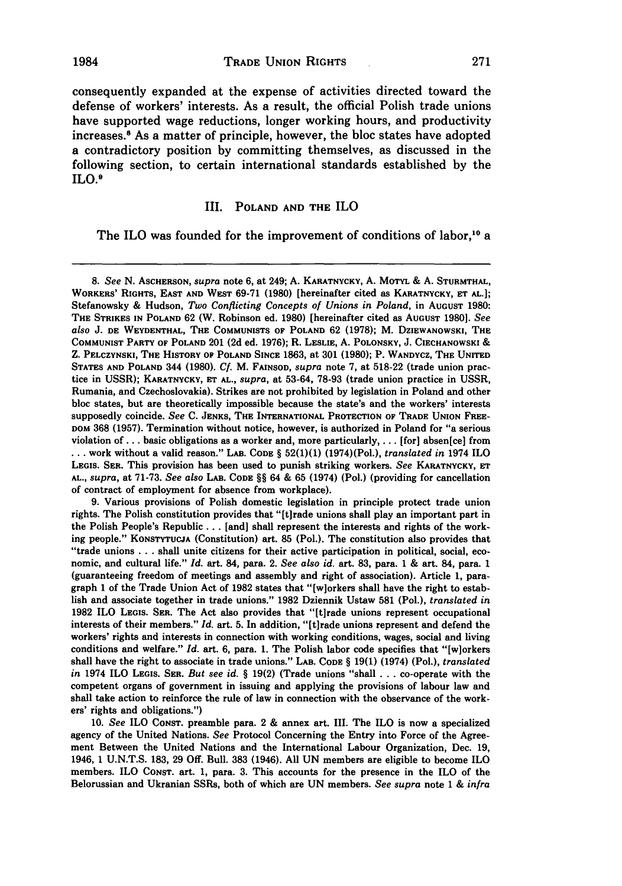consequently expanded at the expense of activities directed toward the defense of workers' interests. As a result, the official Polish trade unions have supported wage reductions, longer working hours, and productivity increases.8 As a matter of principle, however, the bloc states have adopted a contradictory position by committing themselves, as discussed in the following section, to certain international standards established **by** the ILO.<sup>9</sup>

#### III. **POLAND AND** THE ILO

The ILO was founded for the improvement of conditions of labor,<sup>10</sup> a

**9.** Various provisions of Polish domestic legislation in principle protect trade union rights. The Polish constitution provides that "[t]rade unions shall play an important part in the Polish People's Republic **...** [and] shall represent the interests and rights of the working people." **KONSTYTUCJA** (Constitution) art. **85** (Pol.). The constitution also provides that "trade unions **...** shall unite citizens for their active participation in political, social, economic, and cultural life." *Id.* art. 84, para. 2. *See also id.* art. **83,** para. 1 & art. 84, para. 1 (guaranteeing freedom of meetings and assembly and right of association). Article 1, paragraph 1 of the Trade Union Act of **1982** states that "[w]orkers shall have the right to establish and associate together in trade unions." **1982** Dziennik Ustaw **581** (Pol.), *translated in* **1982** ILO **LEGIS. SER.** The Act also provides that "[t]rade unions represent occupational interests of their members." *Id.* art. **5.** In addition, "[tirade unions represent and defend the workers' rights and interests in connection with working conditions, wages, social and living conditions and welfare." *Id.* art. **6,** para. 1. The Polish labor code specifies that "[w]orkers shall have the right to associate in trade unions." LAB. **CODE** § **19(1)** (1974) (Pol.), *translated in* 1974 ILO LEGIS. SER. *But see id.* § **19(2)** (Trade unions "shall . .. co-operate with the competent organs of government in issuing and applying the provisions of labour law and shall take action to reinforce the rule of law in connection with the observance of the workers' rights and obligations.")

10. *See* ILO **CONST.** preamble para. 2 & annex art. III. The ILO is now a specialized agency of the United Nations. *See* Protocol Concerning the Entry into Force of the Agreement Between the United Nations and the International Labour Organization, Dec. 19, 1946, 1 U.N.T.S. **183, 29 Off.** Bull. **383** (1946). All UN members are eligible to become ILO members. ILO **CONST.** art. 1, para. **3.** This accounts for the presence in the ILO of the Belorussian and Ukranian SSRs, both of which are UN members. *See supra* note 1 & *infra*

**<sup>8.</sup>** See N. **ASCHERSON,** supra note **6, at** 249; A. KARATNYCKY, A. MOTvL & A. **STURMTHAL, WORKERS' RIGHTS, EAST AND WEST 69-71 (1980)** [hereinafter cited as **KARATNYCKY, ET AL.];** Stefanowsky **&** Hudson, *Two Conflicting Concepts of Unions in Poland,* in **AUGUST 1980: THE STRIKES IN POLAND 62** (W. Robinson ed. **1980)** [hereinafter cited as **AUGUST 1980].** *See also* **J. DE WEYDENTHAL, THE COMMUNISTS OF POLAND 62 (1978);** M. **DZIEWANOWSKI, THE COMMUNIST** PARTY **OF POLAND** 201 **(2d** ed. 1976); R. **LESLIE,** A. **POLONSKY,** J. **CIECHANOWSKI** & Z. PELCZYNSKI, **THE HISTORY OP POLAND SINCE 1863,** at **301 (1980);** P. **WANDYCZ, THE UNITED STATES AND POLAND** 344 **(1980).** *Cf.* M. **FAINSOD,** *supra* note 7, at **518-22** (trade union practice in USSR); **KARATNYCKY, ET** *AL., supra,* at **53-64, 78-93** (trade union practice in USSR, Rumania, and Czechoslovakia). Strikes are not prohibited by legislation in Poland and other bloc states, but are theoretically impossible because the state's and the workers' interests supposedly coincide. *See* **C. JENKS, THE INTERNATIONAL PROTECTION OF TRADE UNION FREE-**DOM **368 (1957).** Termination without notice, however, is authorized in Poland for "a serious violation of ... basic obligations as a worker and, more particularly, ... [for] absen[ce] from **...** work without a valid reason." LAB. **CODE** § **52(1)(1)** (1974)(Pol.), *translated in* 1974 ILO **LEGIS.** SER. This provision has been used to punish striking workers. *See* KARATNYCKY, **ET AL.,** *supra,* at **71-73.** *See also* LAB. **CODE** §§ 64 & **65** (1974) (Pol.) (providing for cancellation of contract of employment for absence from workplace).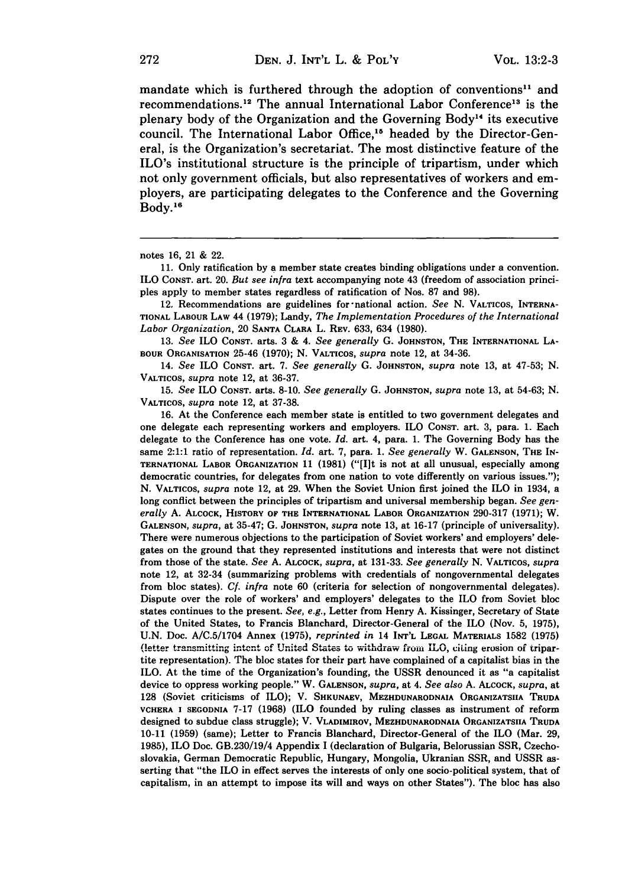mandate which is furthered through the adoption of conventions<sup>11</sup> and recommendations.<sup>12</sup> The annual International Labor Conference<sup>13</sup> is the plenary body of the Organization and the Governing Body<sup>14</sup> its executive council. The International Labor Office,<sup>15</sup> headed by the Director-General, is the Organization's secretariat. The most distinctive feature of the ILO's institutional structure is the principle of tripartism, under which not only government officials, but also representatives of workers and employers, are participating delegates to the Conference and the Governing **Body."**

12. Recommendations are guidelines for-national action. *See* **N. VALTICOS,** INTERNA-**TIONAL** LABOUR **LAW** 44 **(1979);** Landy, *The Implementation Procedures of the International Labor Organization,* 20 **SANTA** CLARA L. REV. **633,** 634 **(1980).**

*13. See* ILO **CONST. arts. 3 &** *4. See generally* **G. JOHNSTON,** THE INTERNATIONAL **LA-**BOUR **ORGANISATION** 25-46 **(1970); N.** VALTicos, *supra* note 12, at 34-36.

14. *See* ILO **CONST.** art. **7.** *See generally* **G. JOHNSTON,** *supra* note **13,** at **47-53; N. VALTICOS,** *supra* note 12, at **36-37.**

**15.** *See* ILO **CONST.** arts. **8-10.** *See generally* **G. JOHNSTON,** *supra* note **13,** at **54-63; N. VALTICOS,** *supra* note 12, at **37-38.**

**16.** At the Conference each member state is entitled to two government delegates and one delegate each representing workers and employers. ILO **CONST.** art. **3,** para. **1.** Each delegate to the Conference has one vote. *Id.* art. 4, para. **1.** The Governing Body has the same 2:1:1 ratio of representation. *Id.* art. **7,** para. **1.** *See generally* W. **GALENSON,** THE IN-**TERNATIONAL** LABOR **ORGANIZATION 11 (1981)** ("[I]t is not at all unusual, especially among democratic countries, for delegates from one nation to vote differently on various issues."); **N. VATICOS,** *supra* note 12, at **29.** When the Soviet Union first joined the ILO in 1934, a long conflict between the principles of tripartism and universal membership began. *See generally* **A. ALCOCK,** HISTORY OF THE **INTERNATIONAL** LABOR ORGANIZATION **290-317 (1971);** W. **GALENSON,** *supra,* at **35-47; G. JOHNSTON,** *supra* note **13,** at **16-17** (principle of universality). There were numerous objections to the participation of Soviet workers' and employers' delegates on the ground that they represented institutions and interests that were not distinct from those of the state. *See* **A. ALCOCK,** *supra,* at **131-33.** *See generally* **N. VALTICOS,** *supra* note 12, at 32-34 (summarizing problems with credentials of nongovernmental delegates from bloc states). *Cf. infra* note **60** (criteria for selection of nongovernmental delegates). Dispute over the role of workers' and employers' delegates to the ILO from Soviet **bloc** states continues to the present. *See, e.g.,* Letter from Henry **A.** Kissinger, Secretary of State of the United States, to Francis Blanchard, Director-General of the ILO (Nov. **5, 1975), U.N.** Doc. **A/C.5/1704** Annex **(1975),** *reprinted in* 14 **INT'L LEGAL MATERIALS 1582 (1975)** (letter transmitting intent of United States to withdraw from ILO, citing erosion of tripartite representation). The bloc states for their part have complained of a capitalist bias in the ILO. At the time of the Organization's founding, the **USSR** denounced it as "a capitalist device to oppress working people." W. **GALENSON,** *supra,* at 4. *See also* **A. ALCOCK,** *supra,* at **128** (Soviet criticisms of ILO); V. **SHKUNAEV, MEZHDUNARODNAIA ORGANIZATSIIA TRUDA VCHERA I SEGODNIA 7-17 (1968)** (ILO founded **by** ruling classes **as instrument of reform designed to** subdue class struggle); V. **VLADIMIROV, MEZHDUNARODNAIA ORGANIZATSIIA TRUDA 10-11 (1959)** (same); Letter to Francis Blanchard, Director-General of the ILO (Mar. **29, 1985),** ILO Doc. GB.230/19/4 Appendix I (declaration of Bulgaria, Belorussian SSR, Czechoslovakia, German Democratic Republic, Hungary, Mongolia, Ukranian SSR, and **USSR** asserting that "the ILO **in effect** serves the interests of only one socio-political system, that of capitalism, in an attempt to impose its will and ways on other States"). The bloc has also

notes **16,** 21 **&** 22.

**<sup>11.</sup>** Only ratification **by a** member state creates binding obligations under a convention. ILO **CONST.** art. 20. *But see infra* **text accompanying note** 43 (freedom of association princi**ples** apply to member states regardless of ratification of Nos. **87** and **98).**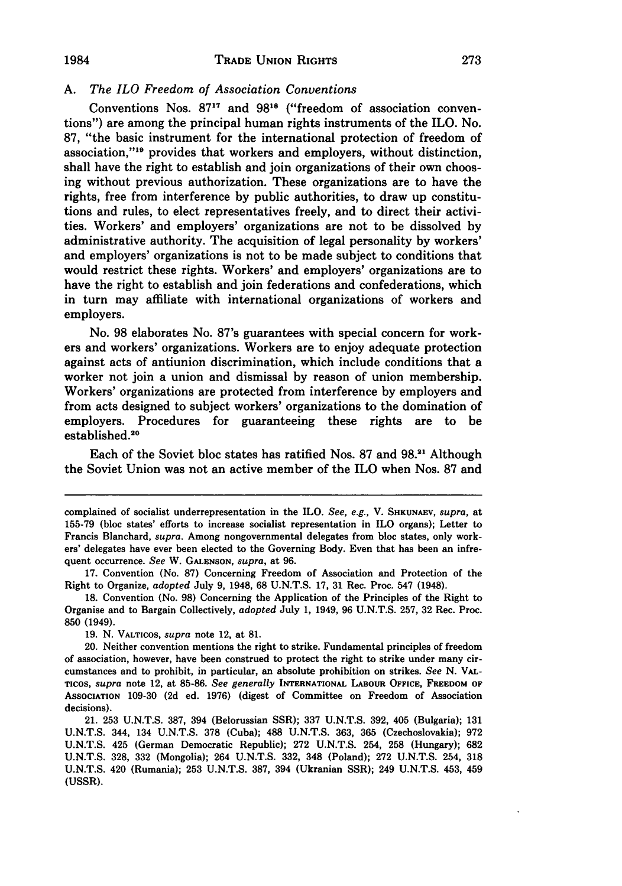#### **A.** *The ILO Freedom of Association Conventions*

**1984**

Conventions Nos. 87<sup>17</sup> and 98<sup>18</sup> ("freedom of association conventions") are among the principal human rights instruments of the ILO. No. **87,** "the basic instrument for the international protection of freedom of association,"<sup>19</sup> provides that workers and employers, without distinction, shall have the right to establish and join organizations of their own choosing without previous authorization. These organizations are to have the rights, free from interference **by** public authorities, to draw up constitutions and rules, to elect representatives freely, and to direct their activities. Workers' and employers' organizations are not to be dissolved **by** administrative authority. The acquisition of legal personality **by** workers' and employers' organizations is not to be made subject to conditions that would restrict these rights. Workers' and employers' organizations are to have the right to establish and join federations and confederations, which in turn may affiliate with international organizations of workers and employers.

No. **98** elaborates No. 87's guarantees with special concern for workers and workers' organizations. Workers are to enjoy adequate protection against acts of antiunion discrimination, which include conditions that a worker not join a union and dismissal **by** reason of union membership. Workers' organizations are protected from interference **by** employers and from acts designed to subject workers' organizations to the domination of employers. Procedures for guaranteeing these rights are to be established.<sup>20</sup>

Each of the Soviet bloc states has ratified Nos. **87** and **98.2'** Although the Soviet Union was not an active member of the ILO when Nos. **87** and

273

complained of socialist underrepresentation in the ILO. *See, e.g.,* V. **SHKUNAEV,** *supra,* at **155-79** (bloc states' efforts to increase socialist representation in ILO organs); Letter to Francis Blanchard, *supra.* Among nongovernmental delegates from bloc states, only workers' delegates have ever been elected to the Governing Body. Even that has been an infrequent occurrence. *See* **W. GALENSON,** *supra,* **at 96.**

**<sup>17.</sup>** Convention (No. **87)** Concerning Freedom of Association and Protection of the Right to Organize, *adopted* July **9,** 1948, **68 U.N.T.S. 17, 31** Rec. Proc. 547 (1948).

**<sup>18.</sup>** Convention (No. **98)** Concerning the Application of the Principles of the Right to Organise and to Bargain Collectively, *adopted* July **1,** 1949, **96 U.N.T.S. 257, 32** Rec. Proc. **850** (1949).

**<sup>19.</sup> N. VALTICOS,** *supra* **note** 12, at **81.**

<sup>20.</sup> Neither convention mentions the right to strike. Fundamental principles of freedom of association, however, have been construed **to** protect the right to strike under many circumstances and to prohibit, in particular, an absolute prohibition on strikes. *See N.* **VAL-**Ticos, *supra* note 12, at **85-86.** *See generally* **INTERNATIONAL LABOUR OFFICE, FREEDOM OF AssOCIATION 109-30 (2d** ed. **1976)** (digest of Committee on Freedom of Association decisions).

<sup>21.</sup> **253 U.N.T.S. 387,** 394 (Belorussian SSR); **337 U.N.T.S. 392,** 405 (Bulgaria); **131 U.N.T.S.** 344, 134 **U.N.T.S. 378** (Cuba); **488 U.N.T.S. 363, 365** (Czechoslovakia); **972 U.N.T.S.** 425 (German Democratic Republic); **272 U.N.T.S.** 254, **258** (Hungary); **682 U.N.T.S. 328, 332** (Mongolia); 264 **U.N.T.S. 332,** 348 (Poland); **272 U.N.T.S.** 254, **318 U.N.T.S.** 420 (Rumania); **253 U.N.T.S. 387,** 394 (Ukranian SSR); 249 **U.N.T.S.** 453, 459 **(USSR).**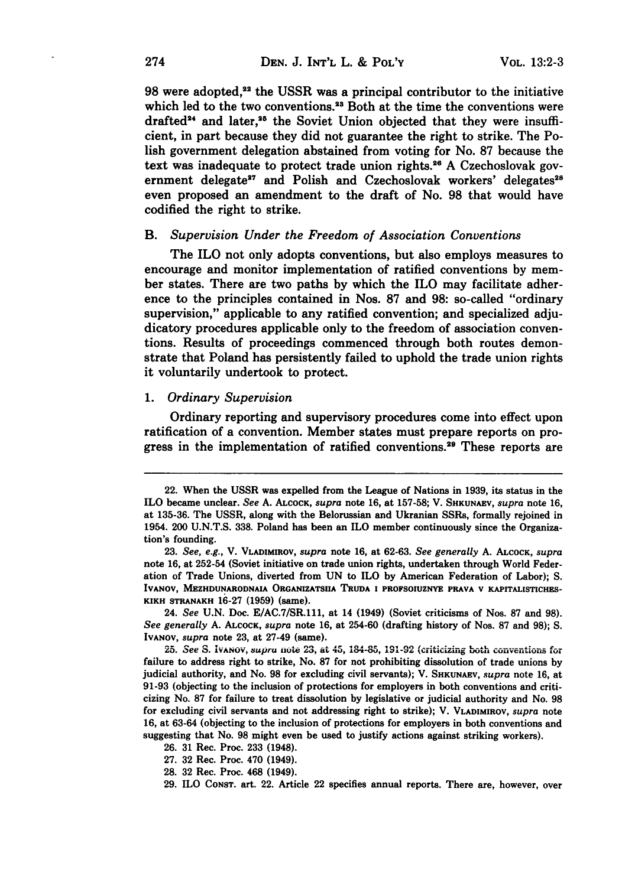98 were adopted,<sup>22</sup> the USSR was a principal contributor to the initiative which led to the two conventions.<sup>23</sup> Both at the time the conventions were drafted<sup>24</sup> and later,<sup>25</sup> the Soviet Union objected that they were insufficient, in part because they did not guarantee the right to strike. The Polish government delegation abstained from voting for No. **87** because the text was inadequate to protect trade union rights.2s **A** Czechoslovak government delegate<sup>27</sup> and Polish and Czechoslovak workers' delegates<sup>28</sup> even proposed an amendment to the draft of No. **98** that would have codified the right to strike.

#### *B. Supervision Under the Freedom of Association Conventions*

The ILO not only adopts conventions, but also employs measures to encourage and monitor implementation of ratified conventions **by** member states. There are two paths **by** which the ILO may facilitate adherence to the principles contained in Nos. **87** and **98:** so-called "ordinary supervision," applicable to any ratified convention; and specialized adjudicatory procedures applicable only to the freedom of association conventions. Results of proceedings commenced through both routes demonstrate that Poland has persistently failed to uphold the trade union rights it voluntarily undertook to protect.

#### *1. Ordinary Supervision*

Ordinary reporting and supervisory procedures come into effect upon ratification of a convention. Member states must prepare reports on progress in the implementation of ratified conventions.<sup>29</sup> These reports are

24. *See* **U.N.** Doc. **E/AC.7/SR.111,** at 14 (1949) (Soviet criticisms of Nos. **87** and **98).** *See generally* **A. ALCOCK,** *supra* note **16,** at 254-60 (drafting history of Nos. **87** and **98); S.** IVANOV, *supra* note **23,** at 27-49 (same).

-- **fO i 10 Ct101-U** ken **I** " **IL - 25.** *See S. IVANov, supru* **note** *23,* at *45,* 1084-o, *.-* We" *ILU...... ,\_* failure to address right to strike, No. 87 for not prohibiting dissolution of trade unions by judicial authority, and No. **98** for excluding civil servants); V. **SHKUNAEV,** *supra* note 16, at 91-93 (objecting to the inclusion of protections for employers in both conventions and criticizing No. **87** for failure to treat dissolution by legislative or judicial authority and No. 98 for excluding civil servants and not addressing right to strike); V. VLADImIROV, *supra* note 16, at 63-64 (objecting to the inclusion of protections for employers in both conventions and suggesting that No. **98** might even be used to justify actions against striking workers).

26. 31 Rec. Proc. 233 (1948).

27. 32 Rec. Proc. 470 (1949).

28. 32 Rec. Proc. 468 (1949).

29. ILO CONST. art. 22. Article 22 specifies annual reports. There are, however, over

<sup>22.</sup> When the **USSR** was expelled from the League of Nations in **1939,** its status in the ILO became unclear. *See* **A. ALCOCK,** *supra* note **16,** at **157-58;** V. SHKUNAEV, *supra* note **16,** at **135-36.** The **USSR,** along with the Belorussian and Ukranian SSRs, formally rejoined in 1954. 200 **U.N.T.S. 338.** Poland has been an ILO member continuously since the Organization's founding.

**<sup>23.</sup>** *See, e.g.,* V. VLADIMmOV, *supra* note **16,** at **62-63.** *See generally* **A. ALCOCK,** *supra* note 16, at 252-54 (Soviet initiative on trade union rights, undertaken through World Federation of Trade Unions, diverted from **UN** to ILO **by** American Federation of Labor); **S.** IVANOV, MEZHDUNARODNAIA ORGANIZATSIIA TRUDA I PROFSOIUZNYE PRAVA V KAPITALISTICHES-KIKH STRANAKH **16-27 (1959)** (same).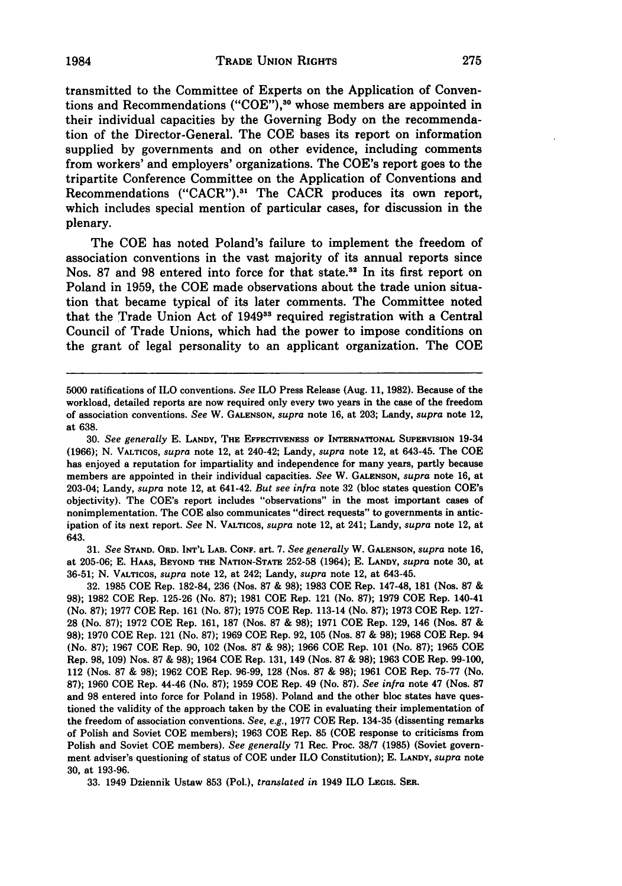transmitted to the Committee of Experts on the Application of Conventions and Recommendations **("COE"),30** whose members are appointed in their individual capacities **by** the Governing Body on the recommendation of the Director-General. The **COE** bases its report on information supplied **by** governments and on other evidence, including comments from workers' and employers' organizations. The COE's report goes to the tripartite Conference Committee on the Application of Conventions and Recommendations ("CACR").<sup>31</sup> The CACR produces its own report, which includes special mention of particular cases, for discussion in the plenary.

The **COE** has noted Poland's failure to implement the freedom of association conventions in the vast majority of its annual reports since Nos. 87 and 98 entered into force for that state.<sup>32</sup> In its first report on Poland in **1959,** the **COE** made observations about the trade union situation that became typical of its later comments. The Committee noted that the Trade Union Act of 1949<sup>33</sup> required registration with a Central Council of Trade Unions, which had the power to impose conditions on the grant of legal personality to an applicant organization. The **COE**

**30.** *See generally* **E. LANDY,** THE **EFFECTIVENESS** OF **INTERNATIONAL SUPERVISION** 19-34 **(1966); N. VALTICOS,** *supra* note 12, at 240-42; Landy, *supra* note 12, at 643-45. The **COE** has enjoyed a reputation for impartiality and independence for many years, partly because members are appointed in their individual capacities. *See* W. **GALENSON,** *supra* note **16,** at 203-04; Landy, *supra* note 12, at 641-42. *But see infra* note **32** (bloc states question COE's objectivity). The COE's report includes "observations" in the most important cases of nonimplementation. The **COE** also communicates "direct requests" to governments in anticipation of its next report. *See* **N.** VALTicos, *supra* note 12, at 241; Landy, *supra* note 12, at 643.

**31.** *See* **STAND. ORD. INT'L LAB. CONF. art. 7.** *See generally* W. **GALENSON,** *supra* **note 16,** at **205-06; E. HAAS, BEYOND THE NATION-STATE 252-58** (1964); **E. LANDY,** *supra* note **30,** at **36-51; N. VALTICOS,** *supra* note 12, at 242; Landy, *supra* note 12, at 643-45.

**32. 1985 COE** Rep. **182-84, 236** (Nos. **87 & 98); 1983 COE** Rep. 147-48, **181 (Nos. 87 & 98); 1982 COE** Rep. **125-26** (No. **87); 1981 COE** Rep. 121 (No. **87); 1979 COE** Rep. 140-41 (No. **87); 1977 COE** Rep. **161** (No. **87); 1975 COE** Rep. 113-14 (No. **87); 1973 COE** Rep. **127- 28** (No. **87); 1972 COE** Rep. **161, 187** (Nos. **87 & 98); 1971 COE** Rep. **129,** 146 (Nos. **87 & 98); 1970 COE** Rep. 121 (No. **87); 1969 COE** Rep. **92, 105** (Nos. **87 & 98); 1968 COE** Rep. 94 (No. **87); 1967 COE** Rep. **90,** 102 (Nos. **87 & 98); 1966 COE** Rep. **101** (No. **87); 1965 COE** Rep. **98, 109)** Nos. **87 & 98);** 1964 **COE** Rep. **131,** 149 (Nos. **87 & 98); 1963 COE** Rep. **99-100,** 112 (Nos. **87 & 98); 1962 COE** Rep. **96-99, 128** (Nos. **87 & 98); 1961 COE** Rep. **75-77** (No. **87); 1960 COE** Rep. 44-46 (No. **87); 1959 COE** Rep. 49 (No. **87).** *See infra* note 47 (Nos. **87** and **98** entered into force for Poland in **1958).** Poland and the other bloc states have questioned the validity of the approach taken **by** the **COE** in evaluating their implementation of the freedom of association conventions. *See, e.g.,* **1977 COE** Rep. 134-35 (dissenting remarks of Polish and Soviet **COE** members); **1963 COE** Rep. **85 (COE** response to criticisms from Polish and Soviet **COE** members). *See generally* **71** Rec. Proc. **38/7 (1985)** (Soviet government adviser's questioning of status of **COE** under ILO Constitution); **E. LANDY,** *supra* note **30,** at **193-96.**

**33.** 1949 Dziennik Ustaw **853** (Pol.), *translated in* 1949 ILO **LEGIS. SEa.**

**<sup>5000</sup>** ratifications of ILO conventions. *See* ILO Press Release (Aug. **11, 1982).** Because of the workload, detailed reports are now required only every two years in the case of the freedom of association conventions. *See* W. **GALENSON,** *supra* note **16,** at **203;** Landy, *supra* note 12, at **638.**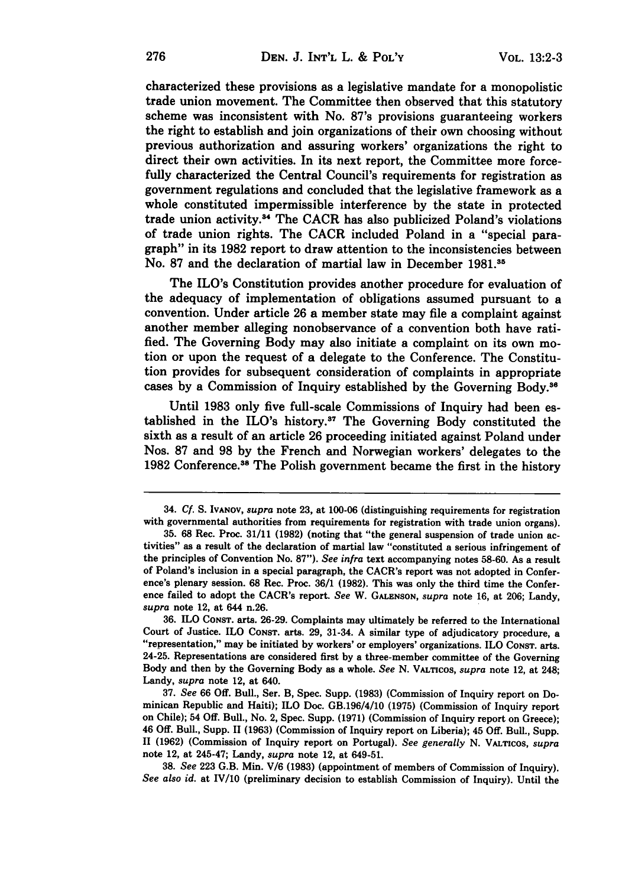characterized these provisions as a legislative mandate for a monopolistic trade union movement. The Committee then observed that this statutory scheme was inconsistent with No. 87's provisions guaranteeing workers the right to establish and join organizations of their own choosing without previous authorization and assuring workers' organizations the right to direct their own activities. In its next report, the Committee more forcefully characterized the Central Council's requirements for registration as government regulations and concluded that the legislative framework as a whole constituted impermissible interference **by** the state in protected trade union activity.<sup>34</sup> The CACR has also publicized Poland's violations of trade union rights. The CACR included Poland in a "special paragraph" in its **1982** report to draw attention to the inconsistencies between No. **87** and the declaration of martial law in December **1981.35**

The ILO's Constitution provides another procedure for evaluation of the adequacy of implementation of obligations assumed pursuant to a convention. Under article **26** a member state may file a complaint against another member alleging nonobservance of a convention both have ratified. The Governing Body may also initiate a complaint on its own motion or upon the request of a delegate to the Conference. The Constitution provides for subsequent consideration of complaints in appropriate cases by a Commission of Inquiry established by the Governing Body.<sup>36</sup>

Until **1983** only five full-scale Commissions of Inquiry had been established in the ILO's history.<sup>37</sup> The Governing Body constituted the sixth as a result of an article **26** proceeding initiated against Poland under Nos. **87** and **98 by** the French and Norwegian workers' delegates to the 1982 Conference.<sup>38</sup> The Polish government became the first in the history

<sup>34.</sup> **Cf. S. IVANOV,** *supra* **note 23,** at **100-06** (distinguishing requirements for registration with governmental authorities from requirements for registration with trade union organs).

**<sup>35. 68</sup>** Rec. Proc. **31/11 (1982)** (noting that "the general suspension of trade union activities" as a result of the declaration of martial law "constituted a serious infringement of the principles of Convention No. **87").** *See infra* text accompanying notes **58-60.** As a result of Poland's inclusion in a special paragraph, the CACR's report was not adopted in Conference's plenary session. 68 Rec. Proc. **36/1 (1982).** This was only the third time the Conference failed to adopt the CACR's report. *See* W. **GALENSON,** *supra* note **16,** at **206;** Landy, *supra* note 12, at 644 n.26.

**<sup>36.</sup>** ILO **CONST.** arts. **26-29.** Complaints may ultimately be referred to the International Court of Justice. ILO **CONST.** arts. **29,** 31-34. **A** similar type of adjudicatory procedure, a "representation," may be initiated **by** workers' or employers' organizations. ILO **CoNsT.** arts. 24-25. Representations are considered first **by** a three-member committee of the Governing Body and then **by** the Governing Body as a whole. *See* **N.** VALTrcos, *supra* note 12, at 248; Landy, *supra* note 12, at 640.

**<sup>37.</sup>** *See* **66 Off.** Bull., Ser. B, Spec. Supp. **(1983)** (Commission of Inquiry report on Dominican Republic and Haiti); ILO Doc. GB.196/4/10 **(1975)** (Commission of Inquiry report on Chile); 54 **Off.** Bull., No. 2, Spec. Supp. **(1971)** (Commission of Inquiry report on Greece); 46 **Off.** Bull., Supp. 11 **(1963)** (Commission of Inquiry report on Liberia); 45 **Off.** Bull., Supp. 11 **(1962)** (Commission of Inquiry report on Portugal). *See generally* **N. VALTICOS,** *supra* note 12, at 245-47; Landy, *supra* note 12, at 649-51.

**<sup>38.</sup>** *See* **223** G.B. Min. **V/6 (1983)** (appointment of members of Commission of Inquiry). *See also id.* at IV/10 (preliminary decision to establish Commission of Inquiry). Until the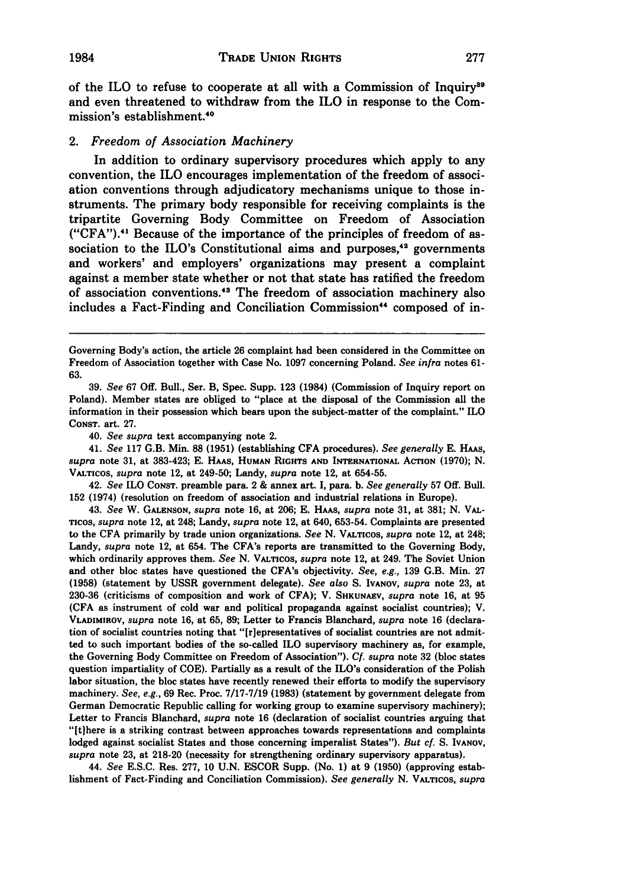of the ILO to refuse to cooperate at all with a Commission of Inquiry<sup>39</sup> and even threatened to withdraw from the ILO in response to the Commission's establishment.<sup>40</sup>

#### 2. *Freedom of Association Machinery*

In addition to ordinary supervisory procedures which apply to any convention, the ILO encourages implementation of the freedom of association conventions through adjudicatory mechanisms unique to those instruments. The primary body responsible for receiving complaints is the tripartite Governing Body Committee on Freedom of Association **("CFA").4 '** Because of the importance of the principles of freedom of association to the ILO's Constitutional aims and purposes,<sup>42</sup> governments and workers' and employers' organizations may present a complaint against a member state whether or not that state has ratified the freedom of association conventions. 43 The freedom of association machinery also includes a Fact-Finding and Conciliation Commission<sup>44</sup> composed of in-

40. *See supra* text accompanying note 2.

41. *See* **117** G.B. **Min. 88 (1951)** (establishing **CFA** procedures). *See generally* **E. HAAS,**  $supra$  note 31, at 383-423; E. HAAS, HUMAN RIGHTS AND INTERNATIONAL ACTION (1970); N. **VALTIcOs,** *supra* note 12, at 249-50; Landy, *supra* **note** 12, at **654-55.**

42. *See* ILO **CONST. preamble para.** 2 **&** annex art. I, para. **b.** *See generally* **57 Off.** Bull. **152** (1974) (resolution on freedom of association and industrial relations in Europe).

43. *See* W. **GALENSON,** *supra* note **16,** at **206; E. HAAS,** *supra* note **31,** at **381; N.** VAL-**TICOS,** *supra* note 12, at 248; Landy, *supra* note 12, at 640, **653-54.** Complaints are presented **to** the **CFA** primarily **by** trade union organizations. *See* **N. VALTICOS,** *supra* note 12, at 248; Landy, *supra* note 12, at 654. The CFA's reports are transmitted to the Governing Body, which ordinarily approves them. *See* **N.** VALTIcos, *supra* note 12, at 249. The Soviet Union and other bloc states have questioned the CFA's objectivity. *See, e.g.,* **139** G.B. **Min. 27 (1958)** (statement **by USSR** government delegate). *See also* **S.** IVANOV, *supra* note **23,** at **230-36** (criticisms of composition and work of **CFA);** V. **SHKUNAEV,** *supra* note **16,** at **95 (CFA** as instrument of cold war and political propaganda against socialist countries); V. **VLADIMmOV,** *supra* note **16,** at **65, 89;** Letter to Francis Blanchard, *supra* note **16** (declara**tion of** socialist countries noting that "[rlepresentatives of socialist countries are not admitted to such important bodies of the so-called ILO supervisory machinery as, for example, the Governing Body Committee on Freedom of Association"). *Cf. supra* **note 32** (bloc states question impartiality of **COE).** Partially as a result of the ILO's consideration of the Polish labor situation, the bloc states have recently renewed their efforts to modify the supervisory machinery. *See, e.g.,* **69** Rec. Proc. **7/17-7/19 (1983)** (statement **by** government delegate from German Democratic Republic calling for working group to examine supervisory machinery); Letter to Francis Blanchard, *supra* **note 16** (declaration of socialist countries arguing that "[tihere is a striking contrast between approaches towards representations and complaints lodged against socialist States and those concerning imperalist States"). *But cf.* **S. IVANOV,** *supra* note **23,** at **218-20** (necessity for strengthening ordinary supervisory apparatus).

44. *See* **E.S.C.** Res. **277, 10 U.N.** ESCOR Supp. (No. **1)** at **9 (1950)** (approving establishment of Fact-Finding and Conciliation Commission). *See generally* **N.** VALTicos, *supra*

Governing Body's action, the article **26** complaint had been considered in the Committee on Freedom of Association together with Case No. **1097** concerning Poland. *See infra* notes **61- 63.**

**<sup>39.</sup>** *See* **67 Off.** Bull., Ser. B, Spec. Supp. **123** (1984) (Commission of Inquiry report on Poland). Member states are obliged to "place at the disposal of the Commission all the information in their possession which bears upon the subject-matter of the complaint." **ILO CONST.** art. **27.**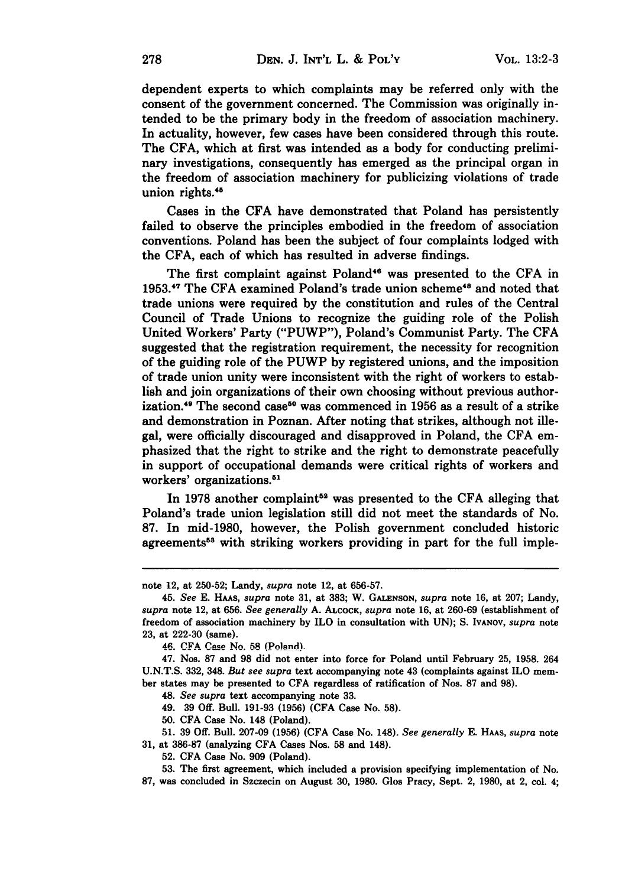dependent experts to which complaints may be referred only with the consent of the government concerned. The Commission was originally intended to be the primary body in the freedom of association machinery. In actuality, however, few cases have been considered through this route. The **CFA,** which at first was intended as a body for conducting preliminary investigations, consequently has emerged as the principal organ in the freedom of association machinery for publicizing violations of trade union rights.<sup>45</sup>

Cases in the **CFA** have demonstrated that Poland has persistently failed to observe the principles embodied in the freedom of association conventions. Poland has been the subject of four complaints lodged with the **CFA,** each of which has resulted in adverse findings.

The first complaint against Poland<sup>46</sup> was presented to the CFA in 1953.<sup>47</sup> The CFA examined Poland's trade union scheme<sup>48</sup> and noted that trade unions were required **by** the constitution and rules of the Central Council of Trade Unions to recognize the guiding role of the Polish United Workers' Party ("PUWP"), Poland's Communist Party. The **CFA** suggested that the registration requirement, the necessity for recognition of the guiding role of the PUWP **by** registered unions, and the imposition of trade union unity were inconsistent with the right of workers to establish and join organizations of their own choosing without previous authorization.<sup>49</sup> The second case<sup>50</sup> was commenced in 1956 as a result of a strike and demonstration in Poznan. After noting that strikes, although not illegal, were officially discouraged and disapproved in Poland, the **CFA** emphasized that the right to strike and the right to demonstrate peacefully in support of occupational demands were critical rights of workers and workers' organizations.<sup>51</sup>

In 1978 another complaint<sup>52</sup> was presented to the CFA alleging that Poland's trade union legislation still did not meet the standards of No. **87.** In mid-1980, however, the Polish government concluded historic agreements<sup>53</sup> with striking workers providing in part for the full imple-

49. **39 Off.** Bull. 191-93 (1956) **(CFA** Case No. 58).

50. **CFA** Case No. 148 (Poland).

51. **39 Off.** Bull. 207-09 (1956) (CFA Case No. 148). *See generally* E. HAAs, *supra* note **31,** at 386-87 (analyzing **CFA** Cases Nos. **58** and 148).

**52. CFA** Case No. 909 (Poland).

53. The first agreement, which included a provision specifying implementation of No. **87,** was concluded in Szczecin on August **30,** 1980. Glos Pracy, Sept. 2, 1980, at 2, col. 4;

note 12, at **250-52;** Landy, *supra* note 12, at **656-57.**

<sup>45.</sup> *See* **E. HAAs,** *supra* note **31,** at **383;** W. **GALENSON,** *supra* note **16,** at **207;** Landy, *supra* note 12, at **656.** *See generally* **A. ALCOCK,** *supra* note **16,** at **260-69** (establishment of freedom of association machinery **by** ILO in consultation with **UN); S. IVANOV,** *supra* note **23,** at **222-30** (same).

**<sup>46.</sup> CFA Cae** N. **.58 (Poland).**

<sup>47.</sup> Nos. **87** and 98 did not enter into force for Poland until February 25, 1958. 264 U.N.T.S. 332, 348. *But see supra* text accompanying note 43 (complaints against ILO member states may be presented to **CFA** regardless of ratification of Nos. 87 and 98).

<sup>48.</sup> *See supra* text accompanying note 33.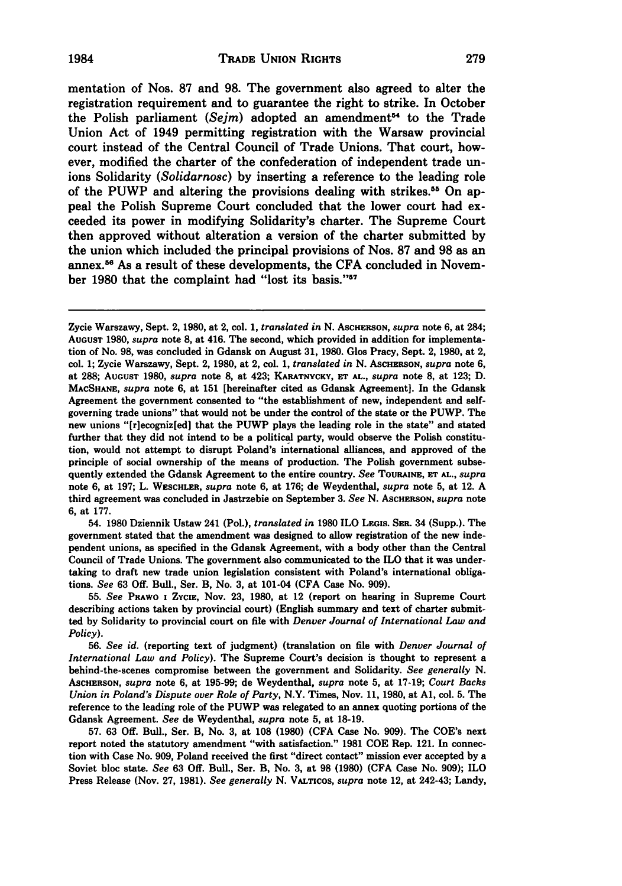mentation of Nos. **87** and **98.** The government also agreed to alter the registration requirement and to guarantee the right to strike. In October the Polish parliament *(Sejm)* adopted an amendment" to the Trade Union Act of 1949 permitting registration with the Warsaw provincial court instead of the Central Council of Trade Unions. That court, however, modified the charter of the confederation of independent trade unions Solidarity *(Solidarnosc)* by inserting a reference to the leading role of the PUWP and altering the provisions dealing with strikes.<sup>55</sup> On appeal the Polish Supreme Court concluded that the lower court had exceeded its power in modifying Solidarity's charter. The Supreme Court then approved without alteration a version of the charter submitted by the union which included the principal provisions of Nos. 87 and **98** as an annex.5s As a result of these developments, the CFA concluded in November 1980 that the complaint had "lost its basis."<sup>57</sup>

54. **1980** Dziennik Ustaw 241 (Pol.), *translated in* **1980** ILO **LEGIS.** SER. 34 (Supp.). The government stated that the amendment was designed to allow registration of the new independent unions, as specified in the Gdansk Agreement, with a body other than the Central Council of Trade Unions. The government also communicated to the ILO that it was undertaking to draft new trade union legislation consistent with Poland's international obligations. *See* **63 Off.** Bull., Ser. B, No. **3,** at 101-04 **(CFA** Case No. **909).**

**55.** *See* **PRAWO I** ZyciE, Nov. **23, 1980,** at 12 (report on hearing in Supreme Court describing actions taken by provincial court) (English summary and text of charter submitted by Solidarity to provincial court on file with *Denver Journal of International Law and Policy).*

**56.** *See id.* (reporting text of judgment) (translation on file with *Denver Journal of International Law and Policy).* The Supreme Court's decision is thought to represent a behind-the-scenes compromise between the government and Solidarity. *See generally N.* **ASCHERSON,** *supra* note **6,** at **195-99;** de Weydenthal, *supra* note **5,** at **17-19;** *Court Backs Union in Poland's Dispute over Role of Party,* N.Y. Times, Nov. **11, 1980,** at **Al,** col. **5.** The reference to the leading role of the PUWP was relegated to an annex quoting portions of the Gdansk Agreement. *See* de Weydenthal, *supra* note **5,** at **18-19.**

**57. 63 Off.** Bull., Ser. B, No. **3,** at **108 (1980) (CFA** Case No. **909).** The COE's next report noted the statutory amendment "with satisfaction." **1981 COE** Rep. 121. In connection with Case No. **909,** Poland received the first "direct contact" mission ever accepted **by** a Soviet bloc state. *See* **63 Off.** Bull., Ser. B, No. **3,** at **98 (1980) (CFA** Case No. **909);** ILO Press Release (Nov. **27, 1981).** *See generally* **N.** VALTicos, *supra* note 12, at 242-43; Landy,

Zycie Warszawy, Sept. 2, 1980, at 2, col. 1, *translated in* N. Ascherson, *supra* note 6, at 284; **AUGUST 1980,** *supra* note 8, at 416. The second, which provided in addition for implementation of No. **98,** was concluded in Gdansk on August **31, 1980.** Glos Pracy, Sept. 2, **1980,** at 2, col. 1; Zycie Warszawy, Sept. 2, **1980,** at 2, col. 1, *translated in* N. AscHERSON, *supra* note **6,** at **288; AUGUST 1980,** *supra* note **8,** at 423; **KARATNYCKY, ET AL.,** *supra* note 8, at **123;** D. **MACSHANE,** *supra* note **6,** at **151** [hereinafter cited as Gdansk Agreement]. In the Gdansk Agreement the government consented to "the establishment of new, independent and selfgoverning trade unions" that would not be under the control of the state or the PUWP. The new unions "[r]ecogniz[ed] that the PUWP plays the leading role in the state" and stated further that they did not intend to be a political party, would observe the Polish constitution, would not attempt to disrupt Poland's international alliances, and approved of the principle of social ownership of the means of production. The Polish government subsequently extended the Gdansk Agreement to the entire country. *See* TouRaMN, **Er AL.,** *supra* note **6,** at 197; L. WESCHLER, *supra* note 6, at 176; de Weydenthal, *supra* note **5,** at 12. A third agreement was concluded in Jastrzebie on September **3.** *See* N. ASCHERSON, *supra* note **6,** at 177.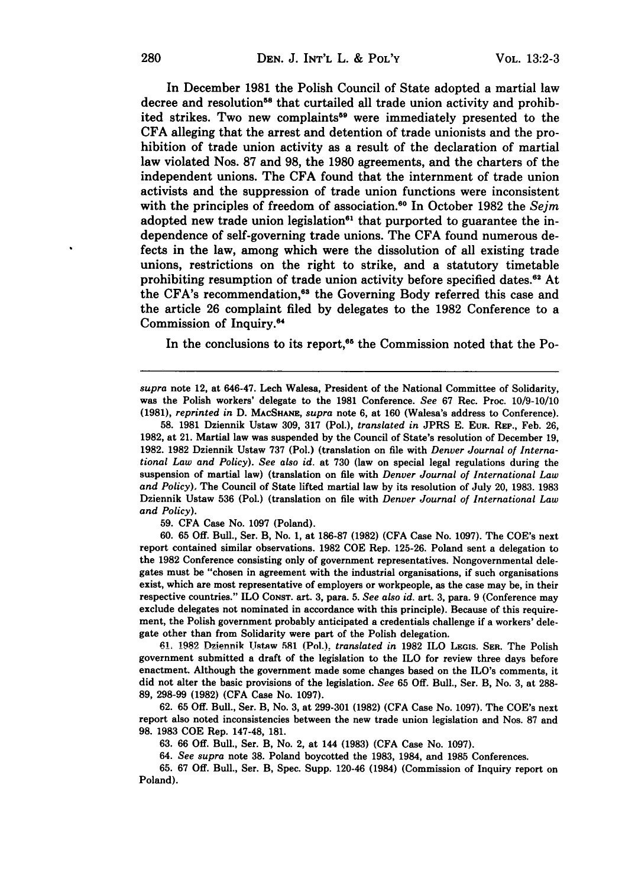In December **1981** the Polish Council of State adopted a martial law decree and resolution<sup>58</sup> that curtailed all trade union activity and prohibited strikes. Two new complaints<sup>59</sup> were immediately presented to the **CFA** alleging that the arrest and detention of trade unionists and the prohibition of trade union activity as a result of the declaration of martial law violated Nos. **87** and **98,** the **1980** agreements, and the charters of the independent unions. The **CFA** found that the internment of trade union activists and the suppression of trade union functions were inconsistent with the principles of freedom of association.<sup>60</sup> In October 1982 the *Sejm* adopted new trade union legislation<sup>61</sup> that purported to guarantee the independence of self-governing trade unions. The **CFA** found numerous defects in the law, among which were the dissolution of all existing trade unions, restrictions on the right to strike, and a statutory timetable prohibiting resumption of trade union activity before specified dates.<sup>62</sup> At the CFA's recommendation,<sup>63</sup> the Governing Body referred this case and the article **26** complaint filed **by** delegates to the **1982** Conference to a Commission of Inquiry.<sup>64</sup>

In the conclusions to its report, $65$  the Commission noted that the Po-

*supra* note 12, at 646-47. Lech Walesa, President of the National Committee of Solidarity, was the Polish workers' delegate to the **1981** Conference. *See* **67** Rec. Proc. **10/9-10/10 (1981),** *reprinted in* **D. MAcSHAx,** *supra* note **6,** at **160** (Walesa's address to Conference).

**58. 1981** Dziennik Ustaw **309, 317** (Pol.), *translated in* **JPRS E. EUR.** REP., Feb. **26, 1982,** at 21. Martial law was suspended **by** the Council of State's resolution of December **19, 1982. 1982** Dziennik Ustaw **737** (Pol.) (translation on file with *Denver Journal of International Law and Policy). See also id.* at **730** (law on special legal regulations during the suspension of martial law) (translation on file with *Denver Journal of International Law and Policy),* The Council of State lifted martial law **by** its resolution of July 20, **1983. 1983** Dziennik Ustaw **536** (Pol.) (translation on file with *Denver Journal of International Law and Policy).*

**59. CFA** Case No. **1097** (Poland).

**60. 65 Off.** Bull., Ser. B, No. **1,** at **186-87 (1982) (CFA** Case No. **1097).** The COE's next report contained similar observations. **1982 COE** Rep. **125-26.** Poland sent a delegation to the **1982** Conference consisting only of government representatives. Nongovernmental delegates must be "chosen in agreement with the industrial organisations, if such organisations exist, which are most representative of employers or workpeople, as the case may be, in their respective countries." ILO **CONST.** art. **3,** para. **5.** *See also id.* art. **3,** para. **9** (Conference may exclude delegates not nominated in accordance with this principle). Because of this requirement, the Polish government probably anticipated a credentials challenge if a workers' delegate other than from Solidarity were part of the Polish delegation.

61 **1.9 lR iefflnik Ust-w 581** (Pol.), *translated in* **1982** ILO **LEGIS. SER.** The Polish government submitted a draft of the legislation to the ILO for review three days before enactment. Although the government made some changes based on the ILO's comments, it did not alter the basic provisions of the legislation. *See* **65 Off.** Bull., Ser. B, No. **3,** at **288- 89, 298-99 (1982) (CFA** Case No. **1097).**

**62. 65 Off.** Bull., Ser. B, No. **3,** at **299-301 (1982) (CFA** Case No. **1097).** The COE's next report also noted inconsistencies between the new trade union legislation and Nos. **87** and **98. 1983 COE** Rep. 147-48, **181.**

**63. 66 Off.** Bull., Ser. B, No. 2, at 144 **(1983) (CFA** Case No. **1097).**

64. *See supra* note **38.** Poland boycotted the **1983,** 1984, and **1985** Conferences.

**65. 67 Off.** Bull., Ser. B, Spec. Supp. 120-46 (1984) (Commission of Inquiry report on Poland).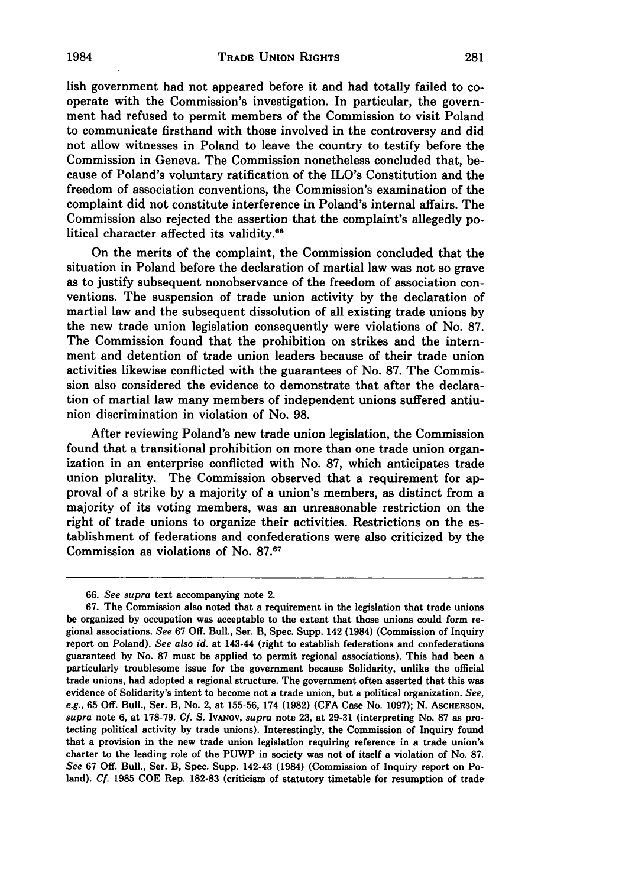lish government had not appeared before it and had totally failed to cooperate with the Commission's investigation. In particular, the government had refused to permit members of the Commission to visit Poland to communicate firsthand with those involved in the controversy and did not allow witnesses in Poland to leave the country to testify before the Commission in Geneva. The Commission nonetheless concluded that, because of Poland's voluntary ratification of the ILO's Constitution and the freedom of association conventions, the Commission's examination of the complaint did not constitute interference in Poland's internal affairs. The Commission also rejected the assertion that the complaint's allegedly political character affected its validity.<sup>66</sup>

On the merits of the complaint, the Commission concluded that the situation in Poland before the declaration of martial law was not so grave as to justify subsequent nonobservance of the freedom of association conventions. The suspension of trade union activity by the declaration of martial law and the subsequent dissolution of all existing trade unions by the new trade union legislation consequently were violations of No. 87. The Commission found that the prohibition on strikes and the internment and detention of trade union leaders because of their trade union activities likewise conflicted with the guarantees of No. **87.** The Commission also considered the evidence to demonstrate that after the declaration of martial law many members of independent unions suffered antiunion discrimination in violation of No. **98.**

After reviewing Poland's new trade union legislation, the Commission found that a transitional prohibition on more than one trade union organization in an enterprise conflicted with No. **87,** which anticipates trade union plurality. The Commission observed that a requirement for approval of a strike **by** a majority of a union's members, as distinct from a majority of its voting members, was an unreasonable restriction on the right of trade unions to organize their activities. Restrictions on the establishment of federations and confederations were also criticized **by** the Commission as violations of No. **87.67**

**<sup>66.</sup>** See supra text accompanying note 2.

**<sup>67.</sup>** The Commission also noted that a requirement in the legislation that trade unions be organized **by** occupation was acceptable to the extent that those unions could form re gional associations. *See* **67 Off.** Bull., Ser. B, Spec. Supp. 142 (1984) (Commission of Inquiry report on Poland). *See also id.* at 143-44 (right to establish federations and confederations guaranteed **by** No. **87** must be applied to permit regional associations). This had been a particularly troublesome issue for the government because Solidarity, unlike the official trade unions, had adopted a regional structure. The government often asserted that this was evidence of Solidarity's intent to become not a trade union, but a political organization. *See, e.g.,* **65 Off.** Bull., Ser. B, No. 2, at **155-56,** 174 **(1982) (CFA** Case No. **1097); N. AsCHERSON,** *supra* note **6,** at **178-79. Cf. S. IvANov,** *supra* note **23,** at **29-31** (interpreting No. **87** as protecting political activity **by** trade unions). Interestingly, the Commission of Inquiry found that a provision in the new trade union legislation requiring reference in a trade union's charter to the leading role of the PUWP in society was not of itself a violation of No. **87.** *See* **67 Off.** Bull., Ser. B, Spec. Supp. 142-43 (1984) (Commission of Inquiry report on Poland). *Cf.* **1985 COE** Rep. **182-83** (criticism of statutory timetable for resumption of trade